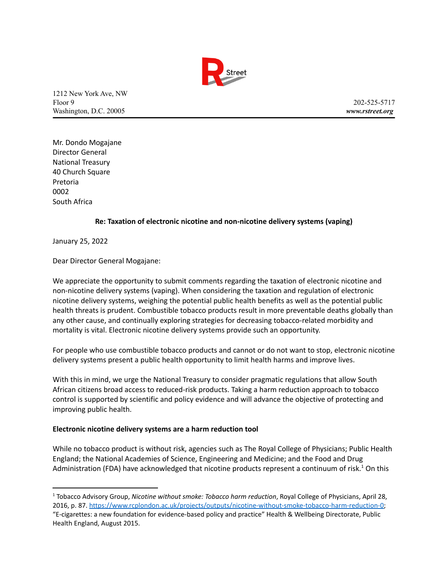

1212 New York Ave, NW Floor 9 202-525-5717 Washington, D.C. 20005 *www.rstreet.org*

Mr. Dondo Mogajane Director General National Treasury 40 Church Square Pretoria 0002 South Africa

## **Re: Taxation of electronic nicotine and non-nicotine delivery systems (vaping)**

January 25, 2022

Dear Director General Mogajane:

We appreciate the opportunity to submit comments regarding the taxation of electronic nicotine and non-nicotine delivery systems (vaping). When considering the taxation and regulation of electronic nicotine delivery systems, weighing the potential public health benefits as well as the potential public health threats is prudent. Combustible tobacco products result in more preventable deaths globally than any other cause, and continually exploring strategies for decreasing tobacco-related morbidity and mortality is vital. Electronic nicotine delivery systems provide such an opportunity.

For people who use combustible tobacco products and cannot or do not want to stop, electronic nicotine delivery systems present a public health opportunity to limit health harms and improve lives.

With this in mind, we urge the National Treasury to consider pragmatic regulations that allow South African citizens broad access to reduced-risk products. Taking a harm reduction approach to tobacco control is supported by scientific and policy evidence and will advance the objective of protecting and improving public health.

## **Electronic nicotine delivery systems are a harm reduction tool**

While no tobacco product is without risk, agencies such as The Royal College of Physicians; Public Health England; the National Academies of Science, Engineering and Medicine; and the Food and Drug Administration (FDA) have acknowledged that nicotine products represent a continuum of risk.<sup>1</sup> On this

<sup>1</sup> Tobacco Advisory Group, *Nicotine without smoke: Tobacco harm reduction*, Royal College of Physicians, April 28, 2016, p. 87. [https://www.rcplondon.ac.uk/projects/outputs/nicotine-without-smoke-tobacco-harm-reduction-0;](https://www.rcplondon.ac.uk/projects/outputs/nicotine-without-smoke-tobacco-harm-reduction-0) "E-cigarettes: a new foundation for evidence-based policy and practice" Health & Wellbeing Directorate, Public Health England, August 2015.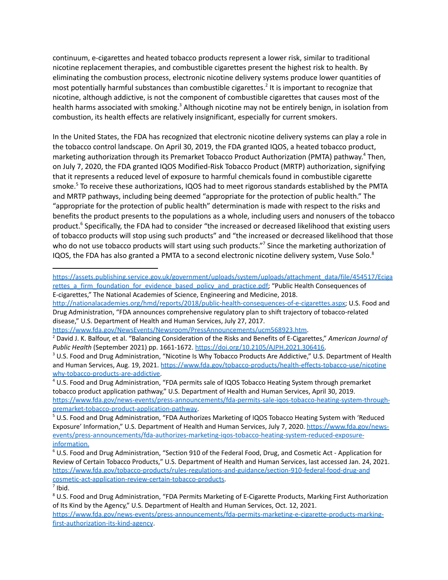continuum, e-cigarettes and heated tobacco products represent a lower risk, similar to traditional nicotine replacement therapies, and combustible cigarettes present the highest risk to health. By eliminating the combustion process, electronic nicotine delivery systems produce lower quantities of most potentially harmful substances than combustible cigarettes.<sup>2</sup> It is important to recognize that nicotine, although addictive, is not the component of combustible cigarettes that causes most of the health harms associated with smoking.<sup>3</sup> Although nicotine may not be entirely benign, in isolation from combustion, its health effects are relatively insignificant, especially for current smokers.

In the United States, the FDA has recognized that electronic nicotine delivery systems can play a role in the tobacco control landscape. On April 30, 2019, the FDA granted IQOS, a heated tobacco product, marketing authorization through its Premarket Tobacco Product Authorization (PMTA) pathway.<sup>4</sup> Then, on July 7, 2020, the FDA granted IQOS Modified-Risk Tobacco Product (MRTP) authorization, signifying that it represents a reduced level of exposure to harmful chemicals found in combustible cigarette smoke.<sup>5</sup> To receive these authorizations, IQOS had to meet rigorous standards established by the PMTA and MRTP pathways, including being deemed "appropriate for the protection of public health." The "appropriate for the protection of public health" determination is made with respect to the risks and benefits the product presents to the populations as a whole, including users and nonusers of the tobacco product.<sup>6</sup> Specifically, the FDA had to consider "the increased or decreased likelihood that existing users of tobacco products will stop using such products" and "the increased or decreased likelihood that those who do not use tobacco products will start using such products."<sup>7</sup> Since the marketing authorization of IQOS, the FDA has also granted a PMTA to a second electronic nicotine delivery system, Vuse Solo.<sup>8</sup>

[https://assets.publishing.service.gov.uk/government/uploads/system/uploads/attachment\\_data/file/454517/Eciga](https://assets.publishing.service.gov.uk/government/uploads/system/uploads/attachment_data/file/454517/Ecigarettes_a_firm_foundation_for_evidence_based_policy_and_practice.pdf) [rettes\\_a\\_firm\\_foundation\\_for\\_evidence\\_based\\_policy\\_and\\_practice.pdf;](https://assets.publishing.service.gov.uk/government/uploads/system/uploads/attachment_data/file/454517/Ecigarettes_a_firm_foundation_for_evidence_based_policy_and_practice.pdf) "Public Health Consequences of E-cigarettes," The National Academies of Science, Engineering and Medicine, 2018.

[http://nationalacademies.org/hmd/reports/2018/public-health-consequences-of-e-cigarettes.aspx;](http://nationalacademies.org/hmd/reports/2018/public-health-consequences-of-e-cigarettes.aspx) U.S. Food and Drug Administration, "FDA announces comprehensive regulatory plan to shift trajectory of tobacco-related disease," U.S. Department of Health and Human Services, July 27, 2017.

[https://www.fda.gov/NewsEvents/Newsroom/PressAnnouncements/ucm568923.htm.](https://www.fda.gov/NewsEvents/Newsroom/PressAnnouncements/ucm568923.htm)

<sup>2</sup> David J. K. Balfour, et al. "Balancing Consideration of the Risks and Benefits of E-Cigarettes," *American Journal of Public Health* (September 2021) pp. 1661-1672. [https://doi.org/10.2105/AJPH.2021.306416.](https://doi.org/10.2105/AJPH.2021.306416)

<sup>&</sup>lt;sup>3</sup> U.S. Food and Drug Administration, "Nicotine Is Why Tobacco Products Are Addictive," U.S. Department of Health and Human Services, Aug. 19, 2021. [https://www.fda.gov/tobacco-products/health-effects-tobacco-use/nicotine](https://www.fda.gov/tobacco-products/health-effects-tobacco-use/nicotine%20%20%20why-tobacco-products-are-addictive) [why-tobacco-products-are-addictive.](https://www.fda.gov/tobacco-products/health-effects-tobacco-use/nicotine%20%20%20why-tobacco-products-are-addictive)

<sup>4</sup> U.S. Food and Drug Administration, "FDA permits sale of IQOS Tobacco Heating System through premarket tobacco product application pathway," U.S. Department of Health and Human Services, April 30, 2019. [https://www.fda.gov/news-events/press-announcements/fda-permits-sale-iqos-tobacco-heating-system-through](https://www.fda.gov/news-events/press-announcements/fda-permits-sale-iqos-tobacco-heating-system-through-premarket-tobacco-product-application-pathway)[premarket-tobacco-product-application-pathway.](https://www.fda.gov/news-events/press-announcements/fda-permits-sale-iqos-tobacco-heating-system-through-premarket-tobacco-product-application-pathway)

<sup>&</sup>lt;sup>5</sup> U.S. Food and Drug Administration, "FDA Authorizes Marketing of IQOS Tobacco Heating System with 'Reduced Exposure' Information," U.S. Department of Health and Human Services, July 7, 2020. [https://www.fda.gov/news](https://www.fda.gov/news-)[events/press-announcements/fda-authorizes-marketing-iqos-tobacco-heating-system-reduced-exposure](https://www.fda.gov/news-events/press-announcements/fda-authorizes-marketing-iqos-tobacco-heating-system-reduced-exposure-information)[information.](https://www.fda.gov/news-events/press-announcements/fda-authorizes-marketing-iqos-tobacco-heating-system-reduced-exposure-information)

<sup>6</sup> U.S. Food and Drug Administration, "Section 910 of the Federal Food, Drug, and Cosmetic Act - Application for Review of Certain Tobacco Products," U.S. Department of Health and Human Services, last accessed Jan. 24, 2021. [https://www.fda.gov/tobacco-products/rules-regulations-and-guidance/section-910-federal-food-drug-and](https://www.fda.gov/tobacco-products/rules-regulations-and-guidance/section-910-federal-food-drug-and%20cosmetic-act-application-review-certain-tobacco-products) [cosmetic-act-application-review-certain-tobacco-products.](https://www.fda.gov/tobacco-products/rules-regulations-and-guidance/section-910-federal-food-drug-and%20cosmetic-act-application-review-certain-tobacco-products)

 $<sup>7</sup>$  Ibid.</sup>

<sup>&</sup>lt;sup>8</sup> U.S. Food and Drug Administration, "FDA Permits Marketing of E-Cigarette Products, Marking First Authorization of Its Kind by the Agency," U.S. Department of Health and Human Services, Oct. 12, 2021.

[https://www.fda.gov/news-events/press-announcements/fda-permits-marketing-e-cigarette-products-marking](https://www.fda.gov/news-events/press-announcements/fda-permits-marketing-e-cigarette-products-marking-)[first-authorization-its-kind-agency](https://www.fda.gov/news-events/press-announcements/fda-permits-marketing-e-cigarette-products-marking-first-authorization-its-kind-agency).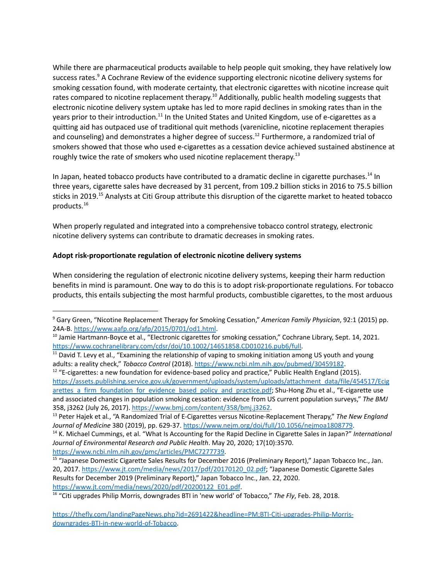While there are pharmaceutical products available to help people quit smoking, they have relatively low success rates.<sup>9</sup> A Cochrane Review of the evidence supporting electronic nicotine delivery systems for smoking cessation found, with moderate certainty, that electronic cigarettes with nicotine increase quit rates compared to nicotine replacement therapy.<sup>10</sup> Additionally, public health modeling suggests that electronic nicotine delivery system uptake has led to more rapid declines in smoking rates than in the years prior to their introduction.<sup>11</sup> In the United States and United Kingdom, use of e-cigarettes as a quitting aid has outpaced use of traditional quit methods (varenicline, nicotine replacement therapies and counseling) and demonstrates a higher degree of success.<sup>12</sup> Furthermore, a randomized trial of smokers showed that those who used e-cigarettes as a cessation device achieved sustained abstinence at roughly twice the rate of smokers who used nicotine replacement therapy.<sup>13</sup>

In Japan, heated tobacco products have contributed to a dramatic decline in cigarette purchases.<sup>14</sup> In three years, cigarette sales have decreased by 31 percent, from 109.2 billion sticks in 2016 to 75.5 billion sticks in 2019.<sup>15</sup> Analysts at Citi Group attribute this disruption of the cigarette market to heated tobacco products. 16

When properly regulated and integrated into a comprehensive tobacco control strategy, electronic nicotine delivery systems can contribute to dramatic decreases in smoking rates.

## **Adopt risk-proportionate regulation of electronic nicotine delivery systems**

When considering the regulation of electronic nicotine delivery systems, keeping their harm reduction benefits in mind is paramount. One way to do this is to adopt risk-proportionate regulations. For tobacco products, this entails subjecting the most harmful products, combustible cigarettes, to the most arduous

<sup>9</sup> Gary Green, "Nicotine Replacement Therapy for Smoking Cessation," *American Family Physician*, 92:1 (2015) pp. 24A-B. <https://www.aafp.org/afp/2015/0701/od1.html>.

 $10$  Jamie Hartmann-Boyce et al., "Electronic cigarettes for smoking cessation," Cochrane Library, Sept. 14, 2021. [https://www.cochranelibrary.com/cdsr/doi/10.1002/14651858.CD010216.pub6/full.](https://www.cochranelibrary.com/cdsr/doi/10.1002/14651858.CD010216.pub6/full)

 $11$  David T. Levy et al., "Examining the relationship of vaping to smoking initiation among US youth and young adults: a reality check," *Tobacco Control* (2018). <https://www.ncbi.nlm.nih.gov/pubmed/30459182>.

 $12$  "E-cigarettes: a new foundation for evidence-based policy and practice," Public Health England (2015). [https://assets.publishing.service.gov.uk/government/uploads/system/uploads/attachment\\_data/file/454517/Ecig](https://assets.publishing.service.gov.uk/government/uploads/system/uploads/attachment_data/file/454517/Ecigarettes_a_firm_foundation_for_evidence_based_policy_and_practice.pdf) [arettes\\_a\\_firm\\_foundation\\_for\\_evidence\\_based\\_policy\\_and\\_practice.pdf](https://assets.publishing.service.gov.uk/government/uploads/system/uploads/attachment_data/file/454517/Ecigarettes_a_firm_foundation_for_evidence_based_policy_and_practice.pdf); Shu-Hong Zhu et al., "E-cigarette use and associated changes in population smoking cessation: evidence from US current population surveys," *The BMJ* 358, j3262 (July 26, 2017). <https://www.bmj.com/content/358/bmj.j3262>.

<sup>13</sup> Peter Hajek et al*.*, "A Randomized Trial of E-Cigarettes versus Nicotine-Replacement Therapy," *The New England Journal of Medicine* 380 (2019), pp. 629-37. <https://www.nejm.org/doi/full/10.1056/nejmoa1808779>.

<sup>14</sup> K. Michael Cummings, et al. "What Is Accounting for the Rapid Decline in Cigarette Sales in Japan?" *International Journal of Environmental Research and Public Health*. May 20, 2020; 17(10):3570. [https://www.ncbi.nlm.nih.gov/pmc/articles/PMC7277739.](https://www.ncbi.nlm.nih.gov/pmc/articles/PMC7277739)

<sup>&</sup>lt;sup>15</sup> "Japanese Domestic Cigarette Sales Results for December 2016 (Preliminary Report)," Japan Tobacco Inc., Jan. 20, 2017. [https://www.jt.com/media/news/2017/pdf/20170120\\_02.pdf;](https://www.jt.com/media/news/2017/pdf/20170120_02.pdf) "Japanese Domestic Cigarette Sales Results for December 2019 (Preliminary Report)," Japan Tobacco Inc., Jan. 22, 2020. [https://www.jt.com/media/news/2020/pdf/20200122\\_E01.pdf](https://www.jt.com/media/news/2020/pdf/20200122_E01.pdf).

<sup>16</sup> "Citi upgrades Philip Morris, downgrades BTI in 'new world' of Tobacco," *The Fly*, Feb. 28, 2018.

[https://thefly.com/landingPageNews.php?id=2691422&headline=PM;BTI-Citi-upgrades-Philip-Morris](https://thefly.com/landingPageNews.php?id=2691422&headline=PM;BTI-Citi-upgrades-Philip-Morris-%20%20%20%20%20%20%20%20%20%20%20%20%20%20%20%20%20%20%20%20%20%20%20%20%20%20%20downgrades-BTI-in-new-world-of-Tobacco)[downgrades-BTI-in-new-world-of-Tobacco.](https://thefly.com/landingPageNews.php?id=2691422&headline=PM;BTI-Citi-upgrades-Philip-Morris-%20%20%20%20%20%20%20%20%20%20%20%20%20%20%20%20%20%20%20%20%20%20%20%20%20%20%20downgrades-BTI-in-new-world-of-Tobacco)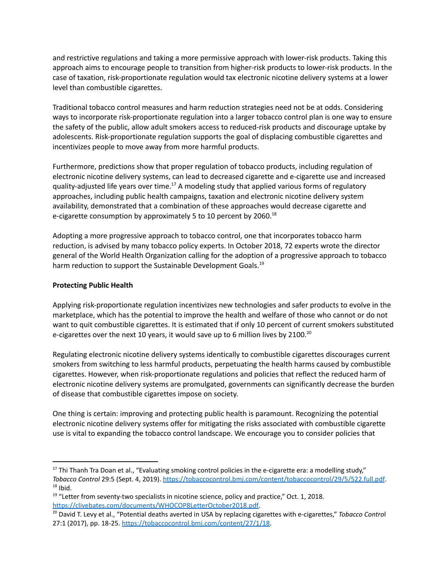and restrictive regulations and taking a more permissive approach with lower-risk products. Taking this approach aims to encourage people to transition from higher-risk products to lower-risk products. In the case of taxation, risk-proportionate regulation would tax electronic nicotine delivery systems at a lower level than combustible cigarettes.

Traditional tobacco control measures and harm reduction strategies need not be at odds. Considering ways to incorporate risk-proportionate regulation into a larger tobacco control plan is one way to ensure the safety of the public, allow adult smokers access to reduced-risk products and discourage uptake by adolescents. Risk-proportionate regulation supports the goal of displacing combustible cigarettes and incentivizes people to move away from more harmful products.

Furthermore, predictions show that proper regulation of tobacco products, including regulation of electronic nicotine delivery systems, can lead to decreased cigarette and e-cigarette use and increased quality-adjusted life years over time.<sup>17</sup> A modeling study that applied various forms of regulatory approaches, including public health campaigns, taxation and electronic nicotine delivery system availability, demonstrated that a combination of these approaches would decrease cigarette and e-cigarette consumption by approximately 5 to 10 percent by 2060.<sup>18</sup>

Adopting a more progressive approach to tobacco control, one that incorporates tobacco harm reduction, is advised by many tobacco policy experts. In October 2018, 72 experts wrote the director general of the World Health Organization calling for the adoption of a progressive approach to tobacco harm reduction to support the Sustainable Development Goals.<sup>19</sup>

## **Protecting Public Health**

Applying risk-proportionate regulation incentivizes new technologies and safer products to evolve in the marketplace, which has the potential to improve the health and welfare of those who cannot or do not want to quit combustible cigarettes. It is estimated that if only 10 percent of current smokers substituted e-cigarettes over the next 10 years, it would save up to 6 million lives by 2100.<sup>20</sup>

Regulating electronic nicotine delivery systems identically to combustible cigarettes discourages current smokers from switching to less harmful products, perpetuating the health harms caused by combustible cigarettes. However, when risk-proportionate regulations and policies that reflect the reduced harm of electronic nicotine delivery systems are promulgated, governments can significantly decrease the burden of disease that combustible cigarettes impose on society.

One thing is certain: improving and protecting public health is paramount. Recognizing the potential electronic nicotine delivery systems offer for mitigating the risks associated with combustible cigarette use is vital to expanding the tobacco control landscape. We encourage you to consider policies that

 $18$  Ibid.  $17$  Thi Thanh Tra Doan et al., "Evaluating smoking control policies in the e-cigarette era: a modelling study," *Tobacco Control* 29:5 (Sept. 4, 2019). <https://tobaccocontrol.bmj.com/content/tobaccocontrol/29/5/522.full.pdf>.

 $19$  "Letter from seventy-two specialists in nicotine science, policy and practice," Oct. 1, 2018. [https://clivebates.com/documents/WHOCOP8LetterOctober2018.pdf.](https://clivebates.com/documents/WHOCOP8LetterOctober2018.pdf)

<sup>20</sup> David T. Levy et al., "Potential deaths averted in USA by replacing cigarettes with e-cigarettes," *Tobacco Contro*l 27:1 (2017), pp. 18-25. [https://tobaccocontrol.bmj.com/content/27/1/18.](https://tobaccocontrol.bmj.com/content/27/1/18)